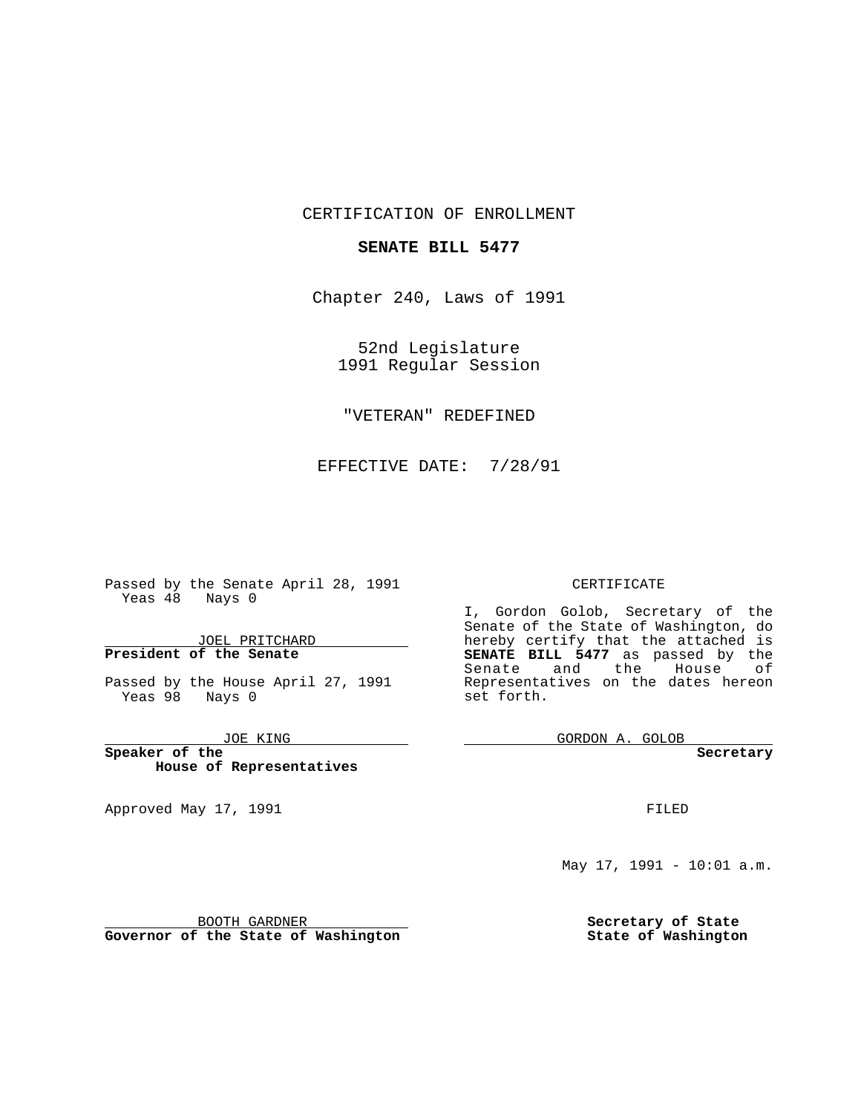CERTIFICATION OF ENROLLMENT

## **SENATE BILL 5477**

Chapter 240, Laws of 1991

52nd Legislature 1991 Regular Session

## "VETERAN" REDEFINED

EFFECTIVE DATE: 7/28/91

 $\frac{1}{2}$  , and  $\frac{1}{2}$ 

Passed by the Senate April 28, 1991 Yeas  $48$  Nays 0

JOEL PRITCHARD **President of the Senate**

Passed by the House April 27, 1991 Yeas 98 Nays 0

JOE KING

**Speaker of the House of Representatives**

Approved May 17, 1991

## CERTIFICATE

I, Gordon Golob, Secretary of the Senate of the State of Washington, do hereby certify that the attached is **SENATE BILL 5477** as passed by the Senate and the House of Representatives on the dates hereon set forth.

GORDON A. GOLOB

**Secretary**

FILED

May 17, 1991 - 10:01 a.m.

BOOTH GARDNER **Governor of the State of Washington**

the control of the control of the

**Secretary of State State of Washington**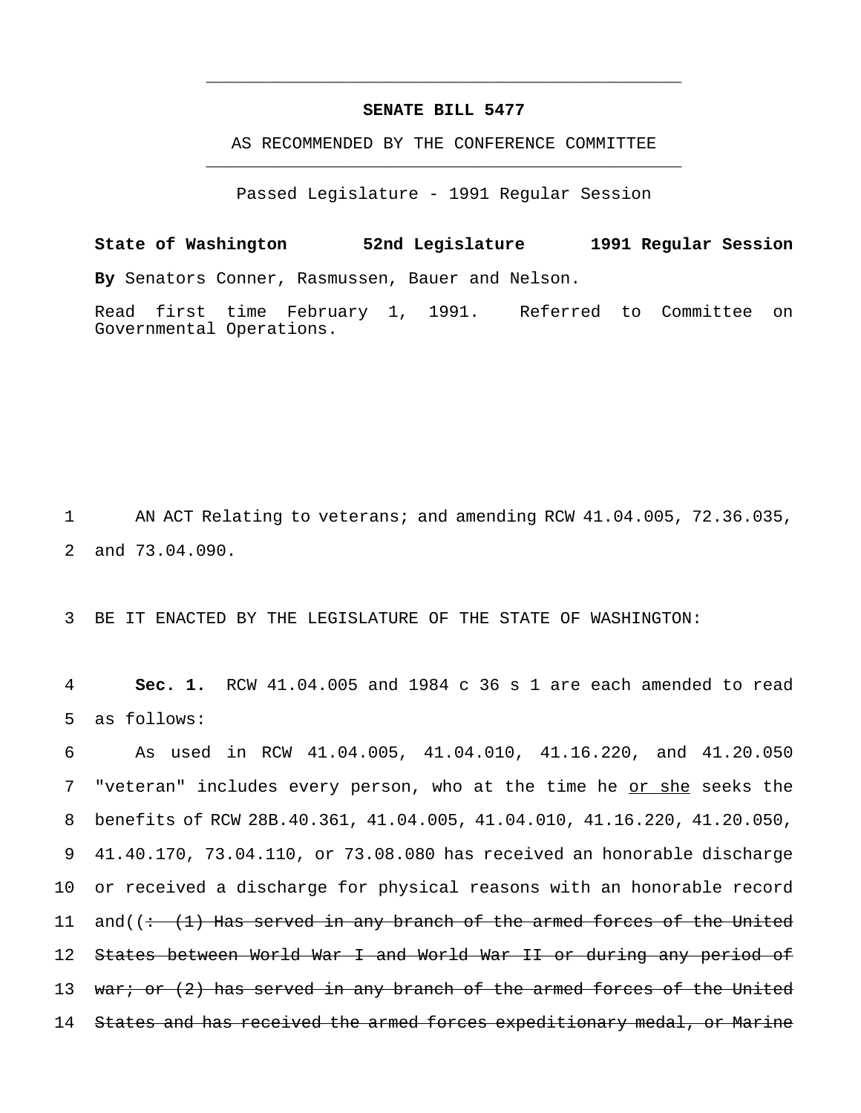## **SENATE BILL 5477**

\_\_\_\_\_\_\_\_\_\_\_\_\_\_\_\_\_\_\_\_\_\_\_\_\_\_\_\_\_\_\_\_\_\_\_\_\_\_\_\_\_\_\_\_\_\_\_

AS RECOMMENDED BY THE CONFERENCE COMMITTEE \_\_\_\_\_\_\_\_\_\_\_\_\_\_\_\_\_\_\_\_\_\_\_\_\_\_\_\_\_\_\_\_\_\_\_\_\_\_\_\_\_\_\_\_\_\_\_

Passed Legislature - 1991 Regular Session

**State of Washington 52nd Legislature 1991 Regular Session By** Senators Conner, Rasmussen, Bauer and Nelson.

Read first time February 1, 1991. Referred to Committee on Governmental Operations.

1 AN ACT Relating to veterans; and amending RCW 41.04.005, 72.36.035, 2 and 73.04.090.

3 BE IT ENACTED BY THE LEGISLATURE OF THE STATE OF WASHINGTON:

4 **Sec. 1.** RCW 41.04.005 and 1984 c 36 s 1 are each amended to read 5 as follows:

6 As used in RCW 41.04.005, 41.04.010, 41.16.220, and 41.20.050 7 "veteran" includes every person, who at the time he or she seeks the 8 benefits of RCW 28B.40.361, 41.04.005, 41.04.010, 41.16.220, 41.20.050, 9 41.40.170, 73.04.110, or 73.08.080 has received an honorable discharge 10 or received a discharge for physical reasons with an honorable record 11 and( $\left(\div\left(1\right)\right)$  Has served in any branch of the armed forces of the United 12 States between World War I and World War II or during any period of 13 war; or (2) has served in any branch of the armed forces of the United 14 States and has received the armed forces expeditionary medal, or Marine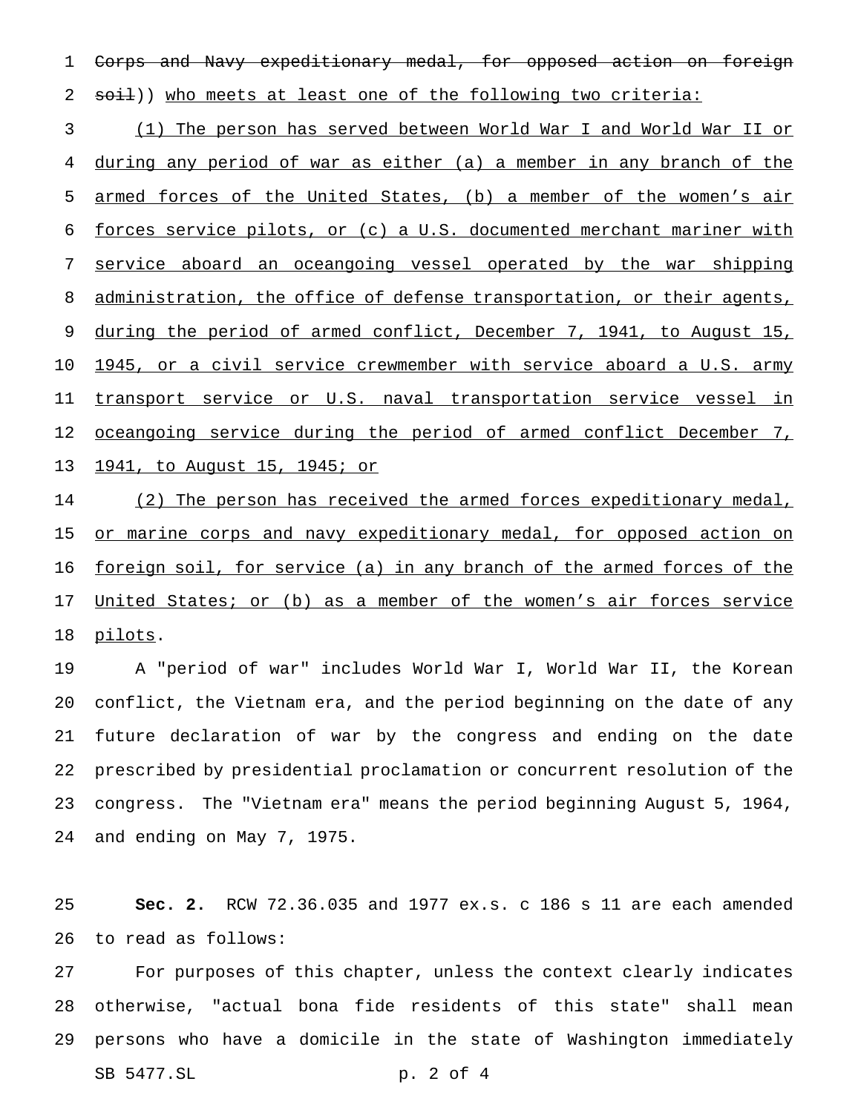Corps and Navy expeditionary medal, for opposed action on foreign 2 soil)) who meets at least one of the following two criteria:

 (1) The person has served between World War I and World War II or during any period of war as either (a) a member in any branch of the armed forces of the United States, (b) a member of the women's air forces service pilots, or (c) a U.S. documented merchant mariner with service aboard an oceangoing vessel operated by the war shipping 8 administration, the office of defense transportation, or their agents, 9 during the period of armed conflict, December 7, 1941, to August 15, 1945, or a civil service crewmember with service aboard a U.S. army 11 transport service or U.S. naval transportation service vessel in 12 <u>oceangoing service during the period of armed conflict December 7,</u> 1941, to August 15, 1945; or

14 (2) The person has received the armed forces expeditionary medal, 15 or marine corps and navy expeditionary medal, for opposed action on 16 <u>foreign soil, for service (a) in any branch of the armed forces of the</u> 17 United States; or (b) as a member of the women's air forces service 18 pilots.

 A "period of war" includes World War I, World War II, the Korean conflict, the Vietnam era, and the period beginning on the date of any future declaration of war by the congress and ending on the date prescribed by presidential proclamation or concurrent resolution of the congress. The "Vietnam era" means the period beginning August 5, 1964, and ending on May 7, 1975.

 **Sec. 2.** RCW 72.36.035 and 1977 ex.s. c 186 s 11 are each amended to read as follows:

 For purposes of this chapter, unless the context clearly indicates otherwise, "actual bona fide residents of this state" shall mean persons who have a domicile in the state of Washington immediately SB 5477.SL p. 2 of 4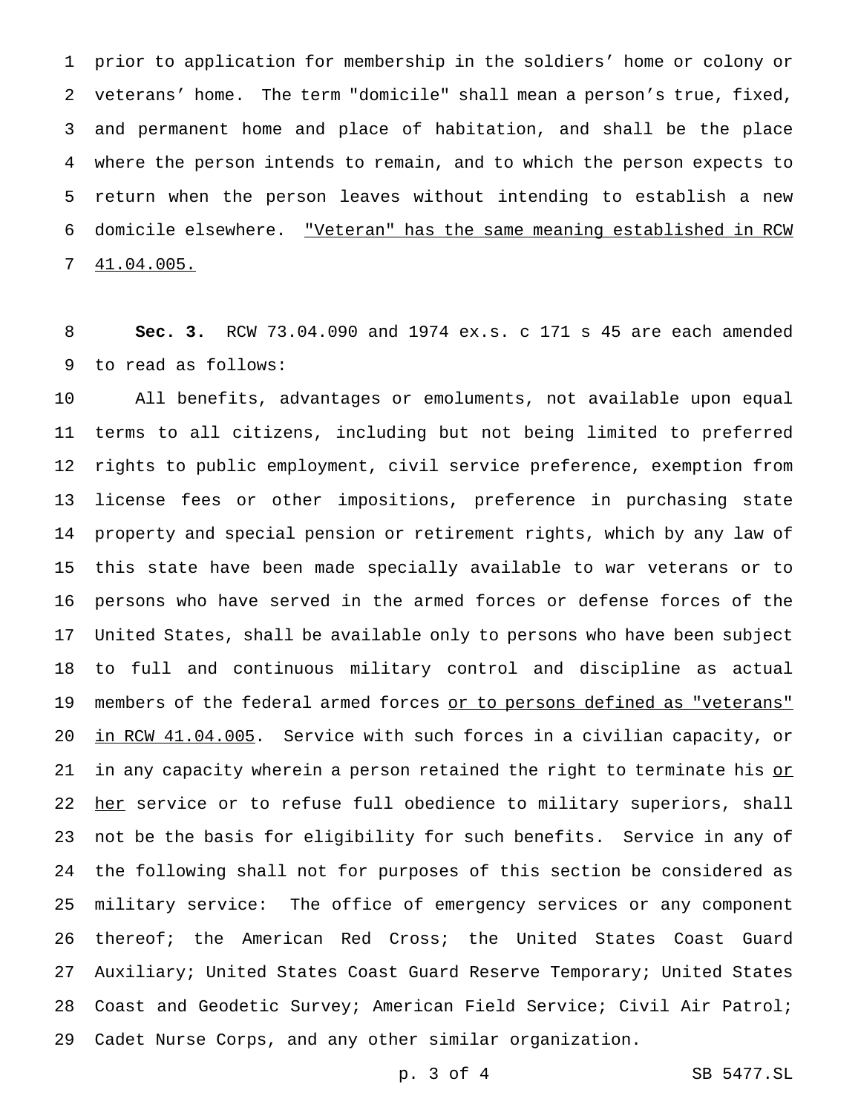prior to application for membership in the soldiers' home or colony or veterans' home. The term "domicile" shall mean a person's true, fixed, and permanent home and place of habitation, and shall be the place where the person intends to remain, and to which the person expects to return when the person leaves without intending to establish a new domicile elsewhere. "Veteran" has the same meaning established in RCW 41.04.005.

 **Sec. 3.** RCW 73.04.090 and 1974 ex.s. c 171 s 45 are each amended to read as follows:

 All benefits, advantages or emoluments, not available upon equal terms to all citizens, including but not being limited to preferred rights to public employment, civil service preference, exemption from license fees or other impositions, preference in purchasing state property and special pension or retirement rights, which by any law of this state have been made specially available to war veterans or to persons who have served in the armed forces or defense forces of the United States, shall be available only to persons who have been subject to full and continuous military control and discipline as actual 19 members of the federal armed forces or to persons defined as "veterans" in RCW 41.04.005. Service with such forces in a civilian capacity, or 21 in any capacity wherein a person retained the right to terminate his or 22 her service or to refuse full obedience to military superiors, shall not be the basis for eligibility for such benefits. Service in any of the following shall not for purposes of this section be considered as military service: The office of emergency services or any component thereof; the American Red Cross; the United States Coast Guard Auxiliary; United States Coast Guard Reserve Temporary; United States Coast and Geodetic Survey; American Field Service; Civil Air Patrol; Cadet Nurse Corps, and any other similar organization.